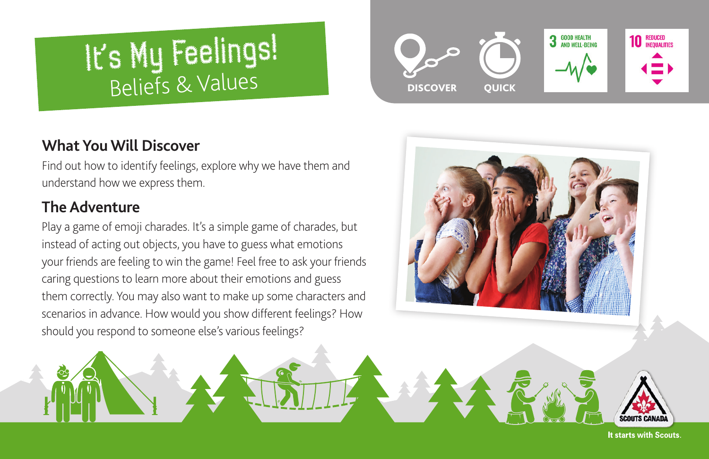# It's My Feelings! Beliefs & Values

## **What You Will Discover**

Find out how to identify feelings, explore why we have them and understand how we express them.

# **The Adventure**

Play a game of emoji charades. It's a simple game of charades, but instead of acting out objects, you have to guess what emotions your friends are feeling to win the game! Feel free to ask your friends caring questions to learn more about their emotions and guess them correctly. You may also want to make up some characters and scenarios in advance. How would you show different feelings? How should you respond to someone else's various feelings?





It starts with Scouts.